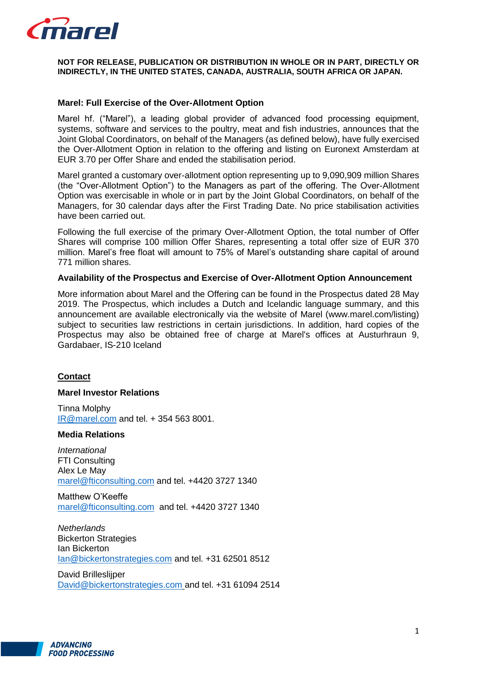

### **NOT FOR RELEASE, PUBLICATION OR DISTRIBUTION IN WHOLE OR IN PART, DIRECTLY OR INDIRECTLY, IN THE UNITED STATES, CANADA, AUSTRALIA, SOUTH AFRICA OR JAPAN.**

## **Marel: Full Exercise of the Over-Allotment Option**

Marel hf. ("Marel"), a leading global provider of advanced food processing equipment, systems, software and services to the poultry, meat and fish industries, announces that the Joint Global Coordinators, on behalf of the Managers (as defined below), have fully exercised the Over-Allotment Option in relation to the offering and listing on Euronext Amsterdam at EUR 3.70 per Offer Share and ended the stabilisation period.

Marel granted a customary over-allotment option representing up to 9,090,909 million Shares (the "Over-Allotment Option") to the Managers as part of the offering. The Over-Allotment Option was exercisable in whole or in part by the Joint Global Coordinators, on behalf of the Managers, for 30 calendar days after the First Trading Date. No price stabilisation activities have been carried out.

Following the full exercise of the primary Over-Allotment Option, the total number of Offer Shares will comprise 100 million Offer Shares, representing a total offer size of EUR 370 million. Marel's free float will amount to 75% of Marel's outstanding share capital of around 771 million shares.

### **Availability of the Prospectus and Exercise of Over-Allotment Option Announcement**

More information about Marel and the Offering can be found in the Prospectus dated 28 May 2019. The Prospectus, which includes a Dutch and Icelandic language summary, and this announcement are available electronically via the website of Marel (www.marel.com/listing) subject to securities law restrictions in certain jurisdictions. In addition, hard copies of the Prospectus may also be obtained free of charge at Marel's offices at Austurhraun 9, Gardabaer, IS-210 Iceland

### **Contact**

### **Marel Investor Relations**

Tinna Molphy [IR@marel.com](mailto:IR@marel.com) and tel. + 354 563 8001.

#### **Media Relations**

*International* FTI Consulting Alex Le May [marel@fticonsulting.com](mailto:marel@fticonsulting.com) and tel. +4420 3727 1340

Matthew O'Keeffe [marel@fticonsulting.com](mailto:marel@fticonsulting.com) and tel. +4420 3727 1340

*Netherlands* Bickerton Strategies Ian Bickerton [Ian@bickertonstrategies.com](mailto:Ian@bickertonstrategies.com) and tel. +31 62501 8512

David Brilleslijper [David@bickertonstrategies.com](mailto:David@bickertonstrategies.com) and tel. +31 61094 2514

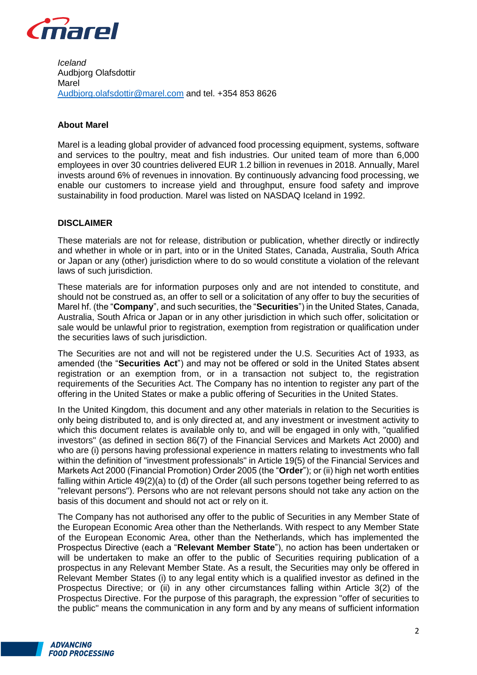

*Iceland* Audbjorg Olafsdottir Marel [Audbjorg.olafsdottir@marel.com](mailto:Audbjorg.olafsdottir@marel.com) and tel. +354 853 8626

# **About Marel**

Marel is a leading global provider of advanced food processing equipment, systems, software and services to the poultry, meat and fish industries. Our united team of more than 6,000 employees in over 30 countries delivered EUR 1.2 billion in revenues in 2018. Annually, Marel invests around 6% of revenues in innovation. By continuously advancing food processing, we enable our customers to increase yield and throughput, ensure food safety and improve sustainability in food production. Marel was listed on NASDAQ Iceland in 1992.

## **DISCLAIMER**

These materials are not for release, distribution or publication, whether directly or indirectly and whether in whole or in part, into or in the United States, Canada, Australia, South Africa or Japan or any (other) jurisdiction where to do so would constitute a violation of the relevant laws of such jurisdiction.

These materials are for information purposes only and are not intended to constitute, and should not be construed as, an offer to sell or a solicitation of any offer to buy the securities of Marel hf. (the "**Company**", and such securities, the "**Securities**") in the United States, Canada, Australia, South Africa or Japan or in any other jurisdiction in which such offer, solicitation or sale would be unlawful prior to registration, exemption from registration or qualification under the securities laws of such jurisdiction.

The Securities are not and will not be registered under the U.S. Securities Act of 1933, as amended (the "**Securities Act**") and may not be offered or sold in the United States absent registration or an exemption from, or in a transaction not subject to, the registration requirements of the Securities Act. The Company has no intention to register any part of the offering in the United States or make a public offering of Securities in the United States.

In the United Kingdom, this document and any other materials in relation to the Securities is only being distributed to, and is only directed at, and any investment or investment activity to which this document relates is available only to, and will be engaged in only with, "qualified investors" (as defined in section 86(7) of the Financial Services and Markets Act 2000) and who are (i) persons having professional experience in matters relating to investments who fall within the definition of "investment professionals" in Article 19(5) of the Financial Services and Markets Act 2000 (Financial Promotion) Order 2005 (the "**Order**"); or (ii) high net worth entities falling within Article 49(2)(a) to (d) of the Order (all such persons together being referred to as "relevant persons"). Persons who are not relevant persons should not take any action on the basis of this document and should not act or rely on it.

The Company has not authorised any offer to the public of Securities in any Member State of the European Economic Area other than the Netherlands. With respect to any Member State of the European Economic Area, other than the Netherlands, which has implemented the Prospectus Directive (each a "**Relevant Member State**"), no action has been undertaken or will be undertaken to make an offer to the public of Securities requiring publication of a prospectus in any Relevant Member State. As a result, the Securities may only be offered in Relevant Member States (i) to any legal entity which is a qualified investor as defined in the Prospectus Directive; or (ii) in any other circumstances falling within Article 3(2) of the Prospectus Directive. For the purpose of this paragraph, the expression "offer of securities to the public" means the communication in any form and by any means of sufficient information